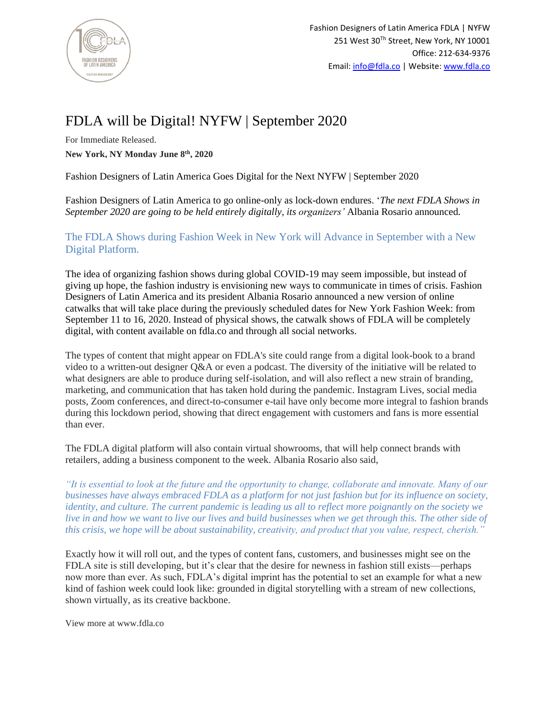

## FDLA will be Digital! NYFW | September 2020

For Immediate Released. **New York, NY Monday June 8 th, 2020**

Fashion Designers of Latin America Goes Digital for the Next NYFW | September 2020

Fashion Designers of Latin America to go online-only as lock-down endures. '*The next FDLA Shows in September 2020 are going to be held entirely digitally, its organizers'* Albania Rosario announced.

The FDLA Shows during Fashion Week in New York will Advance in September with a New Digital Platform.

The idea of organizing fashion shows during global COVID-19 may seem impossible, but instead of giving up hope, the fashion industry is envisioning new ways to communicate in times of crisis. Fashion Designers of Latin America and its president Albania Rosario announced a new version of online catwalks that will take place during the previously scheduled dates for New York Fashion Week: from September 11 to 16, 2020. Instead of physical shows, the catwalk shows of FDLA will be completely digital, with content available on fdla.co and through all social networks.

The types of content that might appear on FDLA's site could range from a digital look-book to a brand video to a written-out designer Q&A or even a podcast. The diversity of the initiative will be related to what designers are able to produce during self-isolation, and will also reflect a new strain of branding, marketing, and communication that has taken hold during the pandemic. Instagram Lives, social media posts, Zoom conferences, and direct-to-consumer e-tail have only become more integral to fashion brands during this lockdown period, showing that direct engagement with customers and fans is more essential than ever.

The FDLA digital platform will also contain virtual showrooms, that will help connect brands with retailers, adding a business component to the week. Albania Rosario also said,

*"It is essential to look at the future and the opportunity to change, collaborate and innovate. Many of our businesses have always embraced FDLA as a platform for not just fashion but for its influence on society, identity, and culture. The current pandemic is leading us all to reflect more poignantly on the society we live in and how we want to live our lives and build businesses when we get through this. The other side of this crisis, we hope will be about sustainability, creativity, and product that you value, respect, cherish."*

Exactly how it will roll out, and the types of content fans, customers, and businesses might see on the FDLA site is still developing, but it's clear that the desire for newness in fashion still exists—perhaps now more than ever. As such, FDLA's digital imprint has the potential to set an example for what a new kind of fashion week could look like: grounded in digital storytelling with a stream of new collections, shown virtually, as its creative backbone.

View more at www.fdla.co